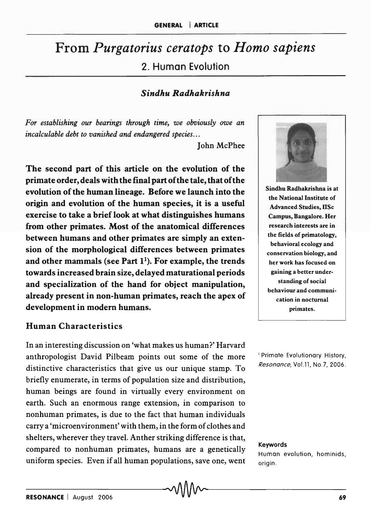# From *Purgatorius ceratops* to *Homo sapiens*

# 2. Human Evolution

## *Sindhu Radhakrishna*

*For establishing our bearings through time, we obviously owe an incalculable debt to vanished and endangered species ...* 

John McPhee

The second part of this article on the evolution of the primate order, deals with the final part of the tale, that of the evolution of the human lineage. Before we launch into the origin and evolution of the human species, it is a useful exercise to take a brief look at what distinguishes humans from other primates. Most of the anatomical differences between humans and other primates are simply an extension of the morphological differences between primates and other mammals (see Part  $1<sup>1</sup>$ ). For example, the trends towards increased brain size, delayed maturational periods and specialization of the hand for object manipulation, already present in non-human primates, reach the apex of development in modem humans.

### Human Characteristics

In an interesting discussion on 'what makes us human?' Harvard anthropologist David Pilbeam points out some of the more distinctive characteristics that give us our unique stamp. To briefly enumerate, in terms of population size and distribution, human beings are found in virtually every environment on earth. Such an enormous range extension, in comparison to nonhuman primates, is due to the fact that human individuals carry a 'microenvironment' with them, in the form of clothes and shelters, wherever they travel. Anther striking difference is that, compared to nonhuman primates, humans are a genetically uniform species. Even if all human populations, save one, went



Sindhu Radhakrishna is at the National Institute of Advanced Studies, IISc Campus, Bangalore. Her research interests are in the fields of primatology, behavioral ecology and conservation biology, and her work has focused on gaining a better understanding of social behaviour and communication in nocturnal primates.

I Primate Evolutionary History, Resonance, Vol.l1, No.7, 2006.

Keywords Human evolution, hominids, origin .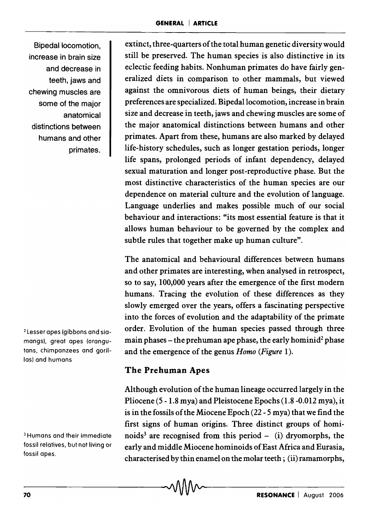Bipedal locomotion, increase in brain size and decrease in teeth, jaws and chewing muscles are some of the major anatomical distinctions between humans and other primates.

2 Lesser apes (gibbons and siamangsl. great apes (orangutans, chimpanzees and gorillas) and humans

<sup>3</sup>Humans and their immediate fossil relatives, but not living or fossil apes.

extinct, three-quarters of the total human genetic diversity would still be preserved. The human species is also distinctive in its eclectic feeding habits. Nonhuman primates do have fairly generalized diets in comparison to other mammals, but viewed against the omnivorous diets of human beings, their dietary preferences are specialized. Bipedal locomotion, increase in brain size and decrease in teeth, jaws and chewing muscles are some of the major anatomical distinctions between humans and other primates. Apart from these, humans are also marked by delayed life-history schedules, such as longer gestation periods, longer life spans, prolonged periods of infant dependency, delayed sexual maturation and longer post-reproductive phase. But the most distinctive characteristics of the human species are our dependence on material culture and the evolution of language. Language underlies and makes possible much of our social behaviour and interactions: "its most essential feature is that it allows human behaviour to be governed by the complex and subtle rules that together make up human culture".

The anatomical and behavioural differences between humans and other primates are interesting, when analysed in retrospect, so to say, 100,000 years after the emergence of the first modern humans. Tracing the evolution of these differences as they slowly emerged over the years, offers a fascinating perspective into the forces of evolution and the adaptability of the primate order. Evolution of the human species passed through three main phases – the prehuman ape phase, the early hominid<sup>2</sup> phase and the emergence of the genus *Homo (Figure 1).* 

# The Prehuman Apes

Although evolution of the human lineage occurred largely in the Pliocene (5 - 1.8 mya) and Pleistocene Epochs (1.8 -0.012 mya), it is in the fossils of the Miocene Epoch (22 - 5 mya) that we find the first signs of human origins. Three distinct groups of hominoids<sup>3</sup> are recognised from this period  $-$  (i) dryomorphs, the early and middle Miocene hominoids of East Africa and Eurasia, characterised by thin enamel on the molar teeth; (ii) ramamorphs,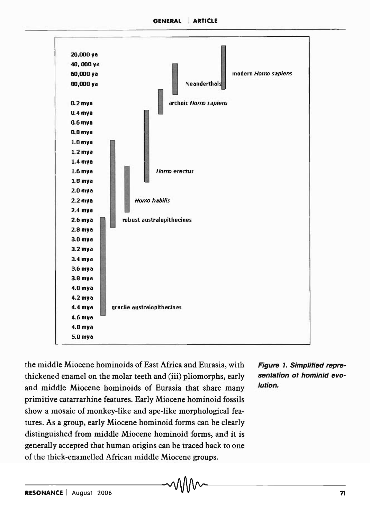GENERAL I ARTICLE



the middle Miocene hominoids of East Africa and Eurasia, with thickened enamel on the molar teeth and (iii) pliomorphs, early and middle Miocene hominoids of Eurasia that share many primitive catarrarhine features. Early Miocene hominoid fossils show a mosaic of monkey-like and ape-like morphological features. As a group, early Miocene hominoid forms can be clearly distinguished from middle Miocene hominoid forms, and it is generally accepted that human origins can be traced back to one of the thick-enamelled African middle Miocene groups.

Figure 1. Simplified representation of hominid evolution.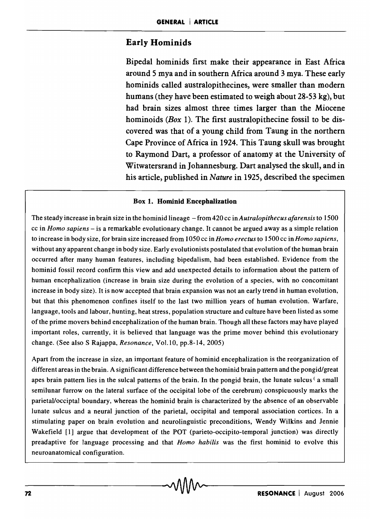# Early Hominids

Bipedal hominids first make their appearance in East Africa around 5 mya and in southern Africa around 3 mya. These early hominids called australopithecines, were smaller than modern humans (they have been estimated to weigh about 28-53 kg), but had brain sizes almost three times larger than the Miocene hominoids *(Box* 1). The first australopithecine fossil to be discovered was that of a young child from Taung in the northern Cape Province of Africa in 1924. This Taung skull was brought to Raymond Dart, a professor of anatomy at the University of Witwatersrand in Johannesburg. Dart analysed the skull, and in his article, published in *Nature* in 1925, described the specimen

#### Box 1. Hominid Encephalization

The steady increase in brain size in the hominid lineage - from 420 cc in *Autralopithecus afarensis* to 1500 cc in *Homo sapiens* - is a remarkable evolutionary change. It cannot be argued away as a simple relation to increase in body size, for brain size increased from 1050 cc in *Homo erectus* to 1500 cc in *Homo sapiens,*  without any apparent change in body size. Early evolutionists postulated that evolution of the human brain occurred after many human features, including bipedalism, had been established. Evidence from the hominid fossil record confirm this view and add unexpected details to information about the pattern of human encephalization (increase in brain size during the evolution of a species, with no concomitant increase in body size). It is now accepted that brain expansion was not an early trend in human evolution, but that this phenomenon confines itself to the last two million years of human evolution. Warfare, language, tools and labour, hunting, heat stress, population structure and culture have been listed as some of the prime movers behind encephalization of the human brain. Though all these factors may have played important roles, currently, it is believed that language was the prime mover behind this evolutionary change. (See also S Rajappa, *Resonance*, Vol.10, pp.8-14, 2005)

Apart from the increase in size, an important feature of hominid encephalization is the reorganization of different areas in the brain. A significant difference between the hominid brain pattern and the pongid/great apes brain pattern lies in the sulcal patterns of the brain. In the pongid brain, the lunate sulcus ( a small semilunar furrow on the lateral surface of the occipital lobe of the cerebrum) conspicuously marks the parietal/occiptal boundary, whereas the hominid brain is characterized by the absence of an observable lunate sulcus and a neural junction of the parietal, occipital and temporal association cortices. In a stimulating paper on brain evolution and neurolinguistic preconditions, Wendy Wilkins and Jennie Wakefield [1] argue that development of the POT (parieto-occipito-temporal junction) was directly preadaptive for language processing and that *Homo habilis* was the first hominid to evolve this neuroanatomical configuration.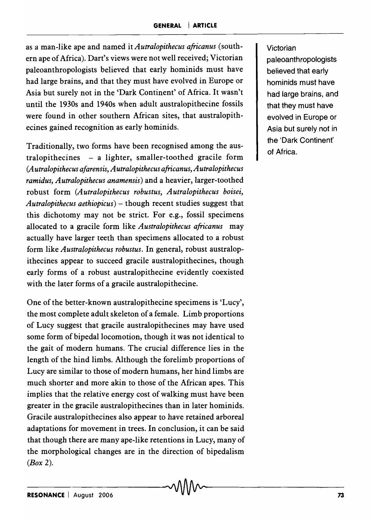as a man-like ape and named it *Autralopithecus africanus* (southern ape of Africa). Dart's views were not well received; Victorian paleoanthropologists believed that early hominids must have had large brains, and that they must have evolved in Europe or Asia but surely not in the 'Dark Continent' of Africa. It wasn't until the 1930s and 1940s when adult australopithecine fossils were found in other southern African sites, that australopithecines gained recognition as early hominids.

Traditionally, two forms have been recognised among the australopithecines - a lighter, smaller-toothed gracile form *(A utralopithecus afarensis, A utralopithecus africanus, A utralopithecus ramidus, Autralopithecus anamensis)* and a heavier, larger-toothed robust form *(Autralopithecus robustus, Autralopithecus boisei, Autralopithecus aethiopicus)* - though recent studies suggest that this dichotomy may not be strict. For e.g., fossil specimens allocated to a gracile form like *Australopithecus africanus* may actually have larger teeth than specimens allocated to a robust form like *Australopithecus robustus.* In general, robust australopithecines appear to succeed gracile australopithecines, though early forms of a robust australopithecine evidently coexisted with the later forms of a gracile australopithecine.

One of the better-known australopithecine specimens is 'Lucy', the most complete adult skeleton of a female. Limb proportions of Lucy suggest that gracile australopithecines may have used some form of bipedal locomotion, though it was not identical to the gait of modern humans. The crucial difference lies in the length of the hind limbs. Although the forelimb proportions of Lucy are similar to those of modern humans, her hind limbs are much shorter and more akin to those of the African apes. This implies that the relative energy cost of walking must have been greater in the gracile australopithecines than in later hominids. Gracile australopithecines also appear to have retained arboreal adaptations for movement in trees. In conclusion, it can be said that though there are many ape-like retentions in Lucy, many of the morphological changes are in the direction of bipedalism *(Box 2).* 

Victorian paleoanthropologists believed that early hominids must have had large brains, and that they must have evolved in Europe or Asia but surely not in the 'Dark Continent' of Africa.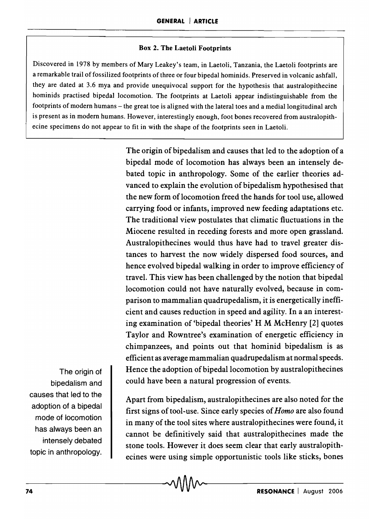#### Box 2. The Laetoli Footprints

Discovered in 1978 by members of Mary Leakey's team, in Laetoli, Tanzania, the Laetoli footprints are a remarkable trail of fossilized footprints of three or four bipedal hominids. Preserved in volcanic ashfall, they are dated at 3.6 mya and provide unequivocal support for the hypothesis that australopithecine hominids practised bipedal locomotion. The footprints at Laetoli appear indistinguishable from the footprints of modern humans – the great toe is aligned with the lateral toes and a medial longitudinal arch is present as in modern humans. However, interestingly enough, foot bones recovered from australopithecine specimens do not appear to fit in with the shape of the footprints seen in Laetoli.

> The origin of bipedalism and causes that led to the adoption of a bipedal mode of locomotion has always been an intensely debated topic in anthropology. Some of the earlier theories advanced to explain the evolution of bipedalism hypothesised that the new form of locomotion freed the hands for tool use, allowed carrying food or infants, improved new feeding adaptations etc. The traditional view postulates that climatic fluctuations in the Miocene resulted in receding forests and more open grassland. Australopithecines would thus have had to travel greater distances to harvest the now widely dispersed food sources, and hence evolved bipedal walking in order to improve efficiency of travel. This view has been challenged by the notion that bipedal locomotion could not have naturally evolved, because in comparison to mammalian quadrupedalism, it is energetically inefficient and causes reduction in speed and agility. In a an interesting examination of 'bipedal theories' H M McHenry [2] quotes Taylor and Rowntree's examination of energetic efficiency in chimpanzees, and points out that hominid bipedalism is as efficient as average mammalian quadrupedalism at normal speeds. Hence the adoption of bipedal locomotion by australopithecines could have been a natural progression of events.

The origin of bipedalism and causes that led to the adoption of a bipedal mode of locomotion has always been an intensely debated topic in anthropology.

Apart from bipedalism, australopithecines are also noted for the first signs of tool-use. Since early species of *Homo* are also found in many of the tool sites where australopithecines were found, it cannot be definitively said that australopithecines made the stone tools. However it does seem clear that early australopithecines were using simple opportunistic tools like sticks, bones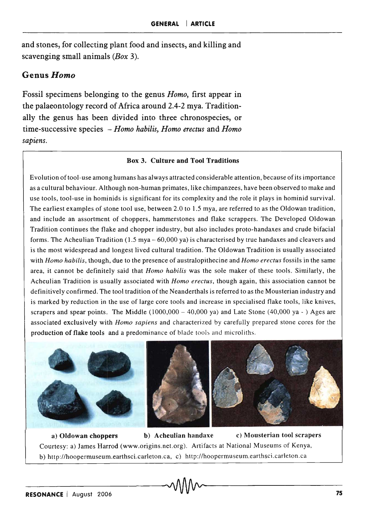and stones, for collecting plant food and insects, and killing and scavenging small animals *(Box 3).* 

# Genus *Homo*

Fossil specimens belonging to the genus *Homo,* first appear in the palaeontology record of Africa around 2.4-2 mya. Traditionally the genus has been divided into three chronospecies, or time-successive species - *Homo habilis, Homo erectus* and *Homo sapiens.* 

#### Box 3. Culture and Tool Traditions

Evolution oftool-use among humans has always attracted considerable attention, because of its importance as a cultural behaviour. Although non-human primates, like chimpanzees, have been observed to make and use tools, tool-use in hominids is significant for its complexity and the role it plays in hominid survival. The earliest examples of stone tool use, between 2.0 to 1.5 mya, are referred to as the Oldowan tradition, and include an assortment of choppers, hammerstones and flake scrappers. The Developed Oldowan Tradition continues the flake and chopper industry, but also includes proto-handaxes and crude bifacial forms. The Acheulian Tradition  $(1.5 \text{ mya} - 60,000 \text{ ya})$  is characterised by true handaxes and cleavers and is the most widespread and longest lived cultural tradition. The Oldowan Tradition is usually associated with *Homo habilis,* though, due to the presence of australopithecine and *Homo erectus* fossils in the same area, it cannot be definitely said that *Homo habilis* was the sole maker of these tools. Similarly, the Acheulian Tradition is usually associated with *Homo erectus,* though again, this association cannot be definitively confirmed. The tool tradition of the Neanderthals is referred to as the Mousterian industry and is marked by reduction in the use of large core tools and increase in specialised flake tools, like knives, scrapers and spear points. The Middle  $(1000,000 - 40,000)$  ya) and Late Stone  $(40,000)$  ya - ) Ages are production of flake tools and a predominance of blade tools and microliths.



a) Oldowan choppers b) Acheulian handaxe c) Mousterian tool scrapers Courtesy: a) James Harrod (www.origins.net.org). Artifacts at National Museums of Kenya, b) http://hoopermuseum.earthsci.carleton.ca, c) http://hoopermuseum.earthsci.carleton .ca

----------------------------------~~~---------------------------------7-5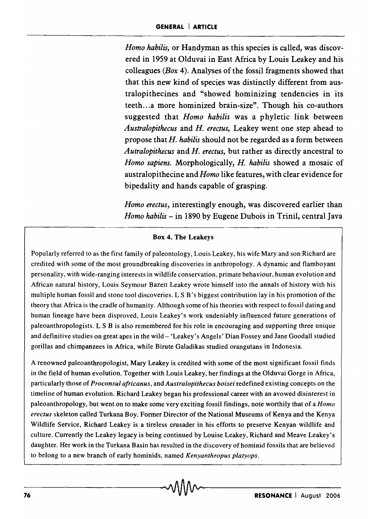*Homo habilis,* or Handyman as this species is called, was discovered in 1959 at Olduvai in East Africa by Louis Leakey and his colleagues *(Box* 4). Analyses of the fossil fragments showed that that this new kind of species was distinctly different from australopithecines and "showed hominizing tendencies in its teeth ... a more hominized brain-size". Though his co-authors suggested that *Homo habilis* was a phyletic link between *Australopithecus* and *H. erectus,* Leakey went one step ahead to propose that *H. habilis* should not be regarded as a form between *Autralopithecus* and *H. erectus,* but rather as directly ancestral to *Homo sapiens.* Morphologically, *H. habilis* showed a mosaic of australopithecine and *Homo* like features, with clear evidence for bipedality and hands capable of grasping.

*Homo erectus,* interestingly enough, was discovered earlier than *Homo habilis* - in 1890 by Eugene Dubois in Trinil, central Java

#### Box 4. The Leakeys

Popularly referred to as the first family of paleontology, Louis Leakey, his wife Mary and son Richard are credited with some of the most groundbreaking discoveries in anthropology. A dynamic and flamboyant personality, with wide-ranging interests in wildlife conservation, primate behaviour, human evolution and African natural history, Louis Seymour Bazett Leakey wrote himself into the annals of history with his multiple human fossil and stone tool discoveries. L S B 's biggest contribution lay in his promotion of the theory that Africa is the cradle of humanity. Although some of his theories with respect to fossil dating and human lineage have been disproved, Louis Leakey's work undeniably influenced future generations of paleoanthropologists. L S B is also remembered for his role in encouraging and supporting three unique and definitive studies on great apes in the wild- 'Leakey's Angels' Dian Fossey and Jane Goodall studied gorillas and chimpanzees in Mrica, while Birute Galadikas studied orangutans in Indonesia.

A renowned paleoanthropologist, Mary Leakey is credited with some of the most significant fossil finds in the field of human evolution. Together with Louis Leakey, her findings at the Olduvai Gorge in Africa, particularly those of *Proconsul africanus,* and *Australopithecus boisei* redefined existing concepts on the timeline of human evolution. Richard Leakey began his professional career with an avowed disinterest in paleo anthropology, but went on to make some very exciting fossil findings, note worthily that of a *Homo erectus* skeleton called Turkana Boy. Former Director of the National Museums of Kenya and the Kenya Wildlife Service, Richard Leakey is a tireless crusader in his efforts to preserve Kenyan wildlife and culture. Currently the Leakey legacy is being continued by Louise Leakey, Richard and Meave Leakey's daughter. Her work in the Turkana Basin has resulted in the discovery of hominid fossils that are believed to belong to a new branch of early hominids, named *Kenyanthropus platyops.*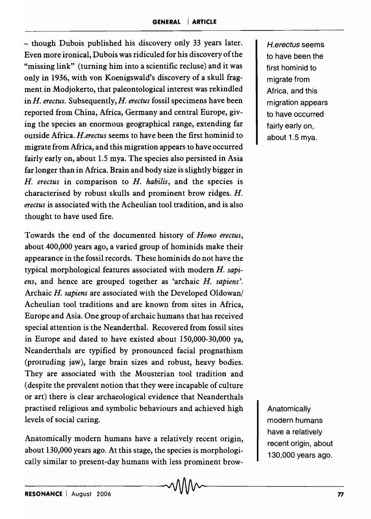- though Dubois published his discovery only 33 years later. Even more ironical, Dubois was ridiculed for his discovery of the "missing link" (turning him into a scientific recluse) and it was only in 1936, with von Koenigswald's discovery of a skull fragment in Modjokerto, that paleontological interest was rekindled in *H. erectus.* Subsequently, *H. erectus* fossil specimens have been reported from China, Africa, Germany and central Europe, giving the species an enormous geographical range, extending far outside Africa. *H.erectus* seems to have been the first hominid to migrate from Africa, and this migration appears to have occurred fairly early on, about 1.5 mya. The species also persisted in Asia far longer than in Africa. Brain and body size is slightly bigger in *H. erectus* in comparison to *H. habilis,* and the species is characterised by robust skulls and prominent brow ridges. H. *erectus* is associated with the Acheulian tool tradition, and is also thought to have used fire.

Towards the end of the documented history of *Homo erectus,*  about 400,000 years ago, a varied group of hominids make their appearance in the fossil records. These hominids do not have the typical morphological features associated with modern *H. sapiens,* and hence are grouped together as 'archaic *H. sapiens'.*  Archaic *H. sapiens* are associated with the Developed Oldowan/ Acheulian tool traditions and are known from sites in Africa, Europe and Asia. One group of archaic humans that has received special attention is the Neanderthal. Recovered from fossil sites in Europe and dated to have existed about 150,000-30,000 ya, Neanderthals are typified by pronounced facial prognathism (protruding jaw), large brain sizes and robust, heavy bodies. They are associated with the Mousterian tool tradition and (despite the prevalent notion that they were incapable of culture or art) there is clear archaeological evidence that Neanderthals practised religious and symbolic behaviours and achieved high levels of social caring.

Anatomically modern humans have a relatively recent origin, about 130,000 years ago. At this stage, the species is morphologically similar to present-day humans with less prominent brow-

H. erectus seems to have been the first hominid to migrate from Africa, and this migration appears to have occurred fairly early on, about 1.5 mya.

Anatomically modern humans have a relatively recent origin, about 130,000 years ago.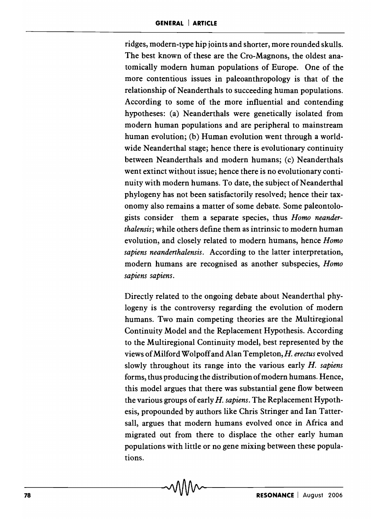ridges, modern-type hip joints and shorter, more rounded skulls. The best known of these are the Cro-Magnons, the oldest anatomically modern human populations of Europe. One of the more contentious issues in paleoanthropology is that of the relationship of Neanderthals to succeeding human populations. According to some of the more influential and contending hypotheses: (a) Neanderthals were genetically isolated from modern human populations and are peripheral to mainstream human evolution; (b) Human evolution went through a worldwide Neanderthal stage; hence there is evolutionary continuity between Neanderthals and modern humans; (c) Neanderthals went extinct without issue; hence there is no evolutionary continuity with modern humans. To date, the subject of Neanderthal phylogeny has not been satisfactorily resolved; hence their taxonomy also remains a matter of some debate. Some paleontologists consider them a separate species, thus *Homo neanderthalensis;* while others define them as intrinsic to modern human evolution, and closely related to modern humans, hence *Homo sapiens neanderthalensis.* According to the latter interpretation, modern humans are recognised as another subspecies, *Homo sapiens sapiens.* 

Directly related to the ongoing debate about Neanderthal phylogeny is the controversy regarding the evolution of modern humans. Two main competing theories are the Multiregional Continuity Model and the Replacement Hypothesis. According to the Multiregional Continuity model, best represented by the views of Milford W olpoff and Alan Templeton, *H. erectus* evolved slowly throughout its range into the various early *H. sapiens*  forms, thus producing the distribution of modern humans. Hence, this model argues that there was substantial gene flow between the various groups of early *H. sapiens.* The Replacement Hypothesis, propounded by authors like Chris Stringer and Ian Tattersall, argues that modern humans evolved once in Africa and migrated out from there to displace the other early human populations with little or no gene mixing between these populations.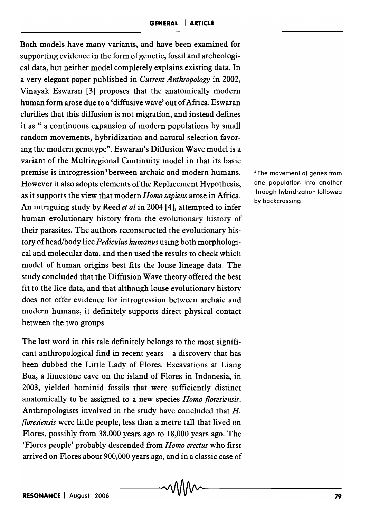Both models have many variants, and have been examined for supporting evidence in the form of genetic, fossil and archeological data, but neither model completely explains existing data. In a very elegant paper published in *Current Anthropology* in 2002, Vinayak Eswaran [3] proposes that the anatomically modern human form arose due to a 'diffusive wave' out of Africa. Eswaran clarifies that this diffusion is not migration, and instead defines it as " a continuous expansion of modern populations by small random movements, hybridization and natural selection favoring the modern genotype". Eswaran's Diffusion Wave model is a variant of the Multiregional Continuity model in that its basic premise is introgression<sup>4</sup> between archaic and modern humans. However it also adopts elements of the Replacement Hypothesis, as it supports the view that modern *Homo sapiens* arose in Africa. An intriguing study by Reed *et al* in 2004 [4], attempted to infer human evolutionary history from the evolutionary history of their parasites. The authors reconstructed the evolutionary history of head/body lice Pediculus humanus using both morphological and molecular data, and then used the results to check which model of human origins best fits the louse lineage data. The study concluded that the Diffusion Wave theory offered the best fit to the lice data, and that although louse evolutionary history does not offer evidence for introgression between archaic and modern humans, it definitely supports direct physical contact between the two groups.

The last word in this tale definitely belongs to the most significant anthropological find in recent years  $-$  a discovery that has been dubbed the Little Lady of Flores. Excavations at Liang Bua, a limestone cave on the island of Flores in Indonesia, in 2003, yielded hominid fossils that were sufficiently distinct anatomically to be assigned to a new species *Homo floresiensis.*  Anthropologists involved in the study have concluded that *H. floresiensis* were little people, less than a metre tall that lived on Flores, possibly from 38,000 years ago to 18,000 years ago. The 'Flores people' probably descended from *Homo erectus* who first arrived on Flores about 900,000 years ago, and in a classic case of <sup>4</sup>The movement of genes from one population into another through hybridization followed by backcrossing.